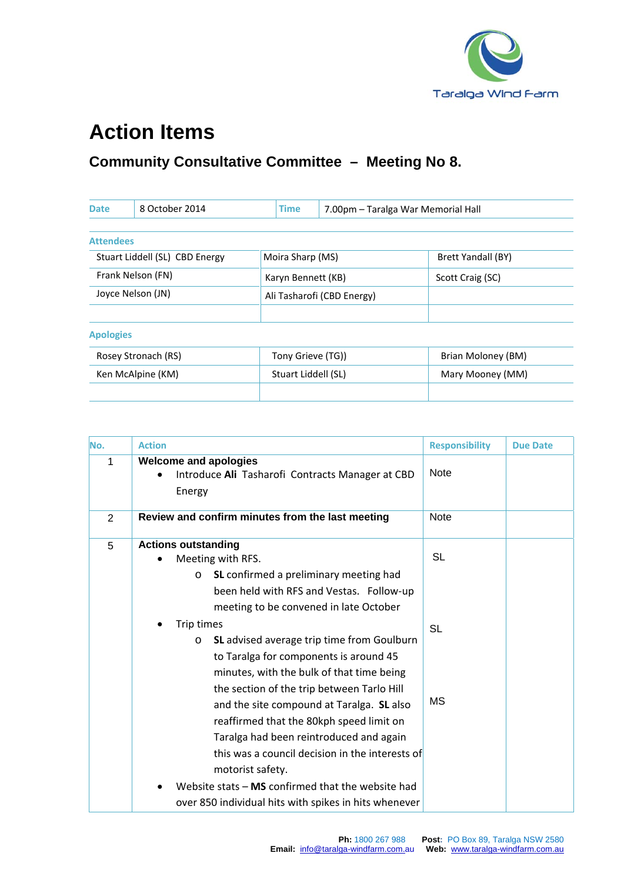

## **Action Items**

## **Community Consultative Committee – Meeting No 8.**

| <b>Date</b>                    | 8 October 2014    | <b>Time</b><br>7.00pm - Taralga War Memorial Hall |  |                           |
|--------------------------------|-------------------|---------------------------------------------------|--|---------------------------|
|                                |                   |                                                   |  |                           |
| <b>Attendees</b>               |                   |                                                   |  |                           |
| Stuart Liddell (SL) CBD Energy |                   | Moira Sharp (MS)                                  |  | <b>Brett Yandall (BY)</b> |
| Frank Nelson (FN)              |                   | Karyn Bennett (KB)                                |  | Scott Craig (SC)          |
| Joyce Nelson (JN)              |                   | Ali Tasharofi (CBD Energy)                        |  |                           |
|                                |                   |                                                   |  |                           |
| <b>Apologies</b>               |                   |                                                   |  |                           |
| Rosey Stronach (RS)            |                   | Tony Grieve (TG))                                 |  | Brian Moloney (BM)        |
|                                | Ken McAlpine (KM) | Stuart Liddell (SL)                               |  | Mary Mooney (MM)          |
|                                |                   |                                                   |  |                           |

| No. | <b>Action</b>                                                                              | <b>Responsibility</b> | <b>Due Date</b> |
|-----|--------------------------------------------------------------------------------------------|-----------------------|-----------------|
| 1   | <b>Welcome and apologies</b><br>Introduce Ali Tasharofi Contracts Manager at CBD<br>Energy | <b>Note</b>           |                 |
| 2   | Review and confirm minutes from the last meeting                                           | <b>Note</b>           |                 |
| 5   | <b>Actions outstanding</b>                                                                 |                       |                 |
|     | Meeting with RFS.                                                                          | <b>SL</b>             |                 |
|     | SL confirmed a preliminary meeting had<br>$\circ$                                          |                       |                 |
|     | been held with RFS and Vestas. Follow-up                                                   |                       |                 |
|     | meeting to be convened in late October                                                     |                       |                 |
|     | Trip times                                                                                 | <b>SL</b>             |                 |
|     | SL advised average trip time from Goulburn<br>$\circ$                                      |                       |                 |
|     | to Taralga for components is around 45                                                     |                       |                 |
|     | minutes, with the bulk of that time being                                                  |                       |                 |
|     | the section of the trip between Tarlo Hill                                                 |                       |                 |
|     | and the site compound at Taralga. SL also                                                  | MS                    |                 |
|     | reaffirmed that the 80kph speed limit on                                                   |                       |                 |
|     | Taralga had been reintroduced and again                                                    |                       |                 |
|     | this was a council decision in the interests of                                            |                       |                 |
|     | motorist safety.                                                                           |                       |                 |
|     | Website stats $-$ MS confirmed that the website had                                        |                       |                 |
|     | over 850 individual hits with spikes in hits whenever                                      |                       |                 |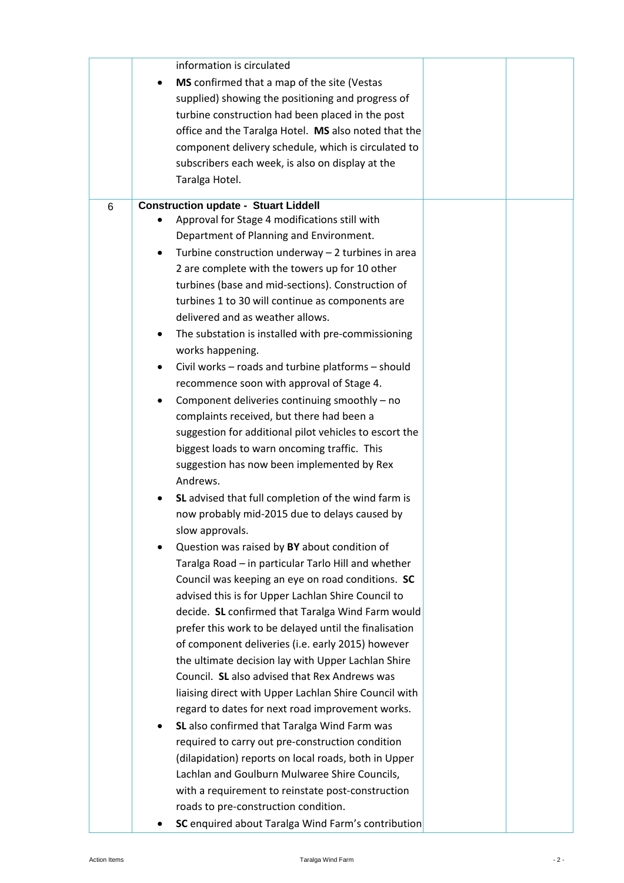|   | information is circulated                              |  |
|---|--------------------------------------------------------|--|
|   | MS confirmed that a map of the site (Vestas            |  |
|   | supplied) showing the positioning and progress of      |  |
|   | turbine construction had been placed in the post       |  |
|   | office and the Taralga Hotel. MS also noted that the   |  |
|   | component delivery schedule, which is circulated to    |  |
|   | subscribers each week, is also on display at the       |  |
|   | Taralga Hotel.                                         |  |
| 6 | <b>Construction update - Stuart Liddell</b>            |  |
|   | Approval for Stage 4 modifications still with          |  |
|   | Department of Planning and Environment.                |  |
|   | Turbine construction underway - 2 turbines in area     |  |
|   | 2 are complete with the towers up for 10 other         |  |
|   | turbines (base and mid-sections). Construction of      |  |
|   | turbines 1 to 30 will continue as components are       |  |
|   | delivered and as weather allows.                       |  |
|   | The substation is installed with pre-commissioning     |  |
|   | works happening.                                       |  |
|   | Civil works - roads and turbine platforms - should     |  |
|   | recommence soon with approval of Stage 4.              |  |
|   | Component deliveries continuing smoothly - no          |  |
|   | complaints received, but there had been a              |  |
|   | suggestion for additional pilot vehicles to escort the |  |
|   | biggest loads to warn oncoming traffic. This           |  |
|   | suggestion has now been implemented by Rex             |  |
|   | Andrews.                                               |  |
|   | SL advised that full completion of the wind farm is    |  |
|   | now probably mid-2015 due to delays caused by          |  |
|   | slow approvals.                                        |  |
|   | Question was raised by BY about condition of           |  |
|   | Taralga Road - in particular Tarlo Hill and whether    |  |
|   | Council was keeping an eye on road conditions. SC      |  |
|   | advised this is for Upper Lachlan Shire Council to     |  |
|   | decide. SL confirmed that Taralga Wind Farm would      |  |
|   | prefer this work to be delayed until the finalisation  |  |
|   | of component deliveries (i.e. early 2015) however      |  |
|   | the ultimate decision lay with Upper Lachlan Shire     |  |
|   | Council. SL also advised that Rex Andrews was          |  |
|   | liaising direct with Upper Lachlan Shire Council with  |  |
|   | regard to dates for next road improvement works.       |  |
|   | SL also confirmed that Taralga Wind Farm was           |  |
|   | required to carry out pre-construction condition       |  |
|   |                                                        |  |
|   | (dilapidation) reports on local roads, both in Upper   |  |
|   | Lachlan and Goulburn Mulwaree Shire Councils,          |  |
|   | with a requirement to reinstate post-construction      |  |
|   | roads to pre-construction condition.                   |  |